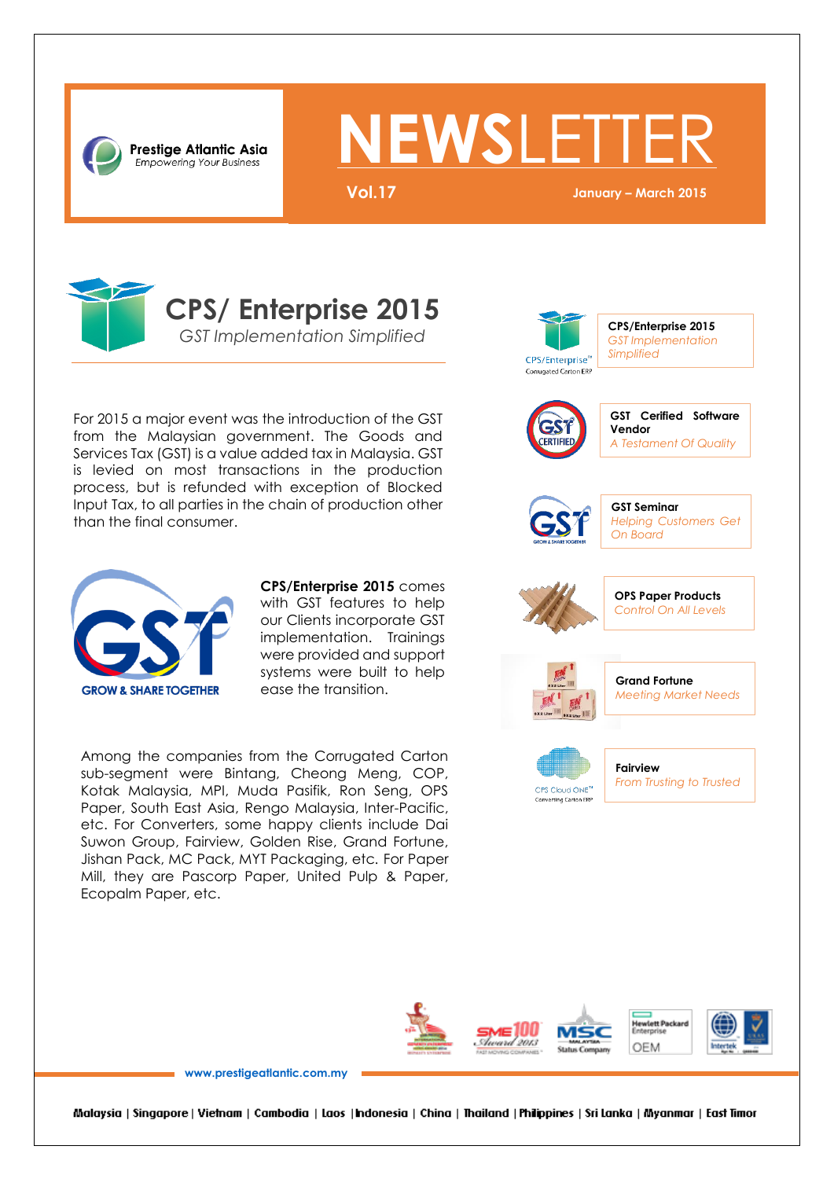

# **EWSLETT**

**Vol.17 January – March 2015**



For 2015 a major event was the introduction of the GST from the Malaysian government. The Goods and Services Tax (GST) is a value added tax in Malaysia. GST is levied on most transactions in the production process, but is refunded with exception of Blocked Input Tax, to all parties in the chain of production other than the final consumer.



**CPS/Enterprise 2015** comes with GST features to help our Clients incorporate GST implementation. Trainings were provided and support systems were built to help ease the transition.

Among the companies from the Corrugated Carton sub-segment were Bintang, Cheong Meng, COP, Kotak Malaysia, MPI, Muda Pasifik, Ron Seng, OPS Paper, South East Asia, Rengo Malaysia, Inter-Pacific, etc. For Converters, some happy clients include Dai Suwon Group, Fairview, Golden Rise, Grand Fortune, Jishan Pack, MC Pack, MYT Packaging, etc*.* For Paper Mill, they are Pascorp Paper, United Pulp & Paper, Ecopalm Paper, etc.





**Fairview** *From Trusting to Trusted*



**[www.prestigeatlantic.com.my](http://www.prestigeatlantic.com.my/)**

Malaysia | Singapore | Vietnam | Cambodia | Laos | Indonesia | China | Thailand | Philippines | Sri Lanka | Myanmar | East Timor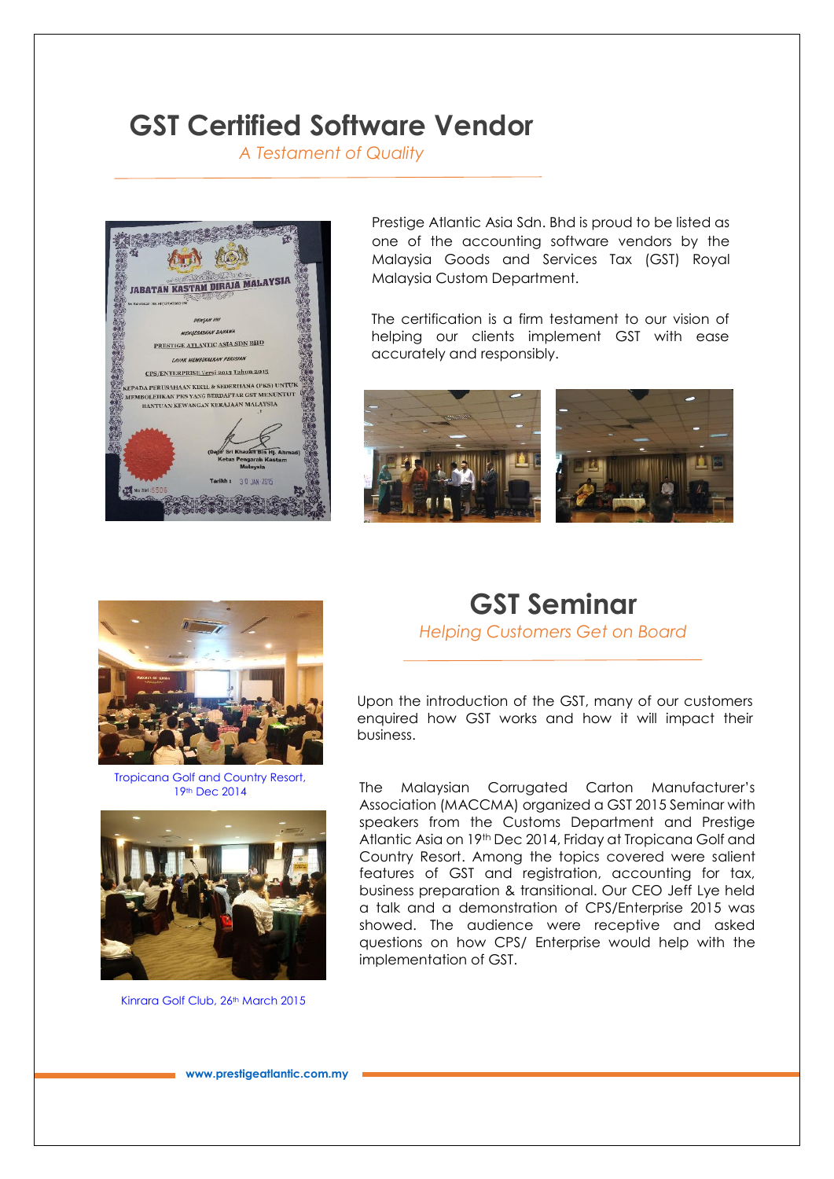## **GST Certified Software Vendor**

*A Testament of Quality*



Prestige Atlantic Asia Sdn. Bhd is proud to be listed as one of the accounting software vendors by the Malaysia Goods and Services Tax (GST) Royal Malaysia Custom Department.

The certification is a firm testament to our vision of helping our clients implement GST with ease accurately and responsibly.





Tropicana Golf and Country Resort, 19th Dec 2014



Kinrara Golf Club, 26<sup>th</sup> March 2015

#### **GST Seminar** *Helping Customers Get on Board*

Upon the introduction of the GST, many of our customers enquired how GST works and how it will impact their business.

The Malaysian Corrugated Carton Manufacturer's Association (MACCMA) organized a GST 2015 Seminar with speakers from the Customs Department and Prestige Atlantic Asia on 19th Dec 2014, Friday at Tropicana Golf and Country Resort. Among the topics covered were salient features of GST and registration, accounting for tax, business preparation & transitional. Our CEO Jeff Lye held a talk and a demonstration of CPS/Enterprise 2015 was showed. The audience were receptive and asked questions on how CPS/ Enterprise would help with the implementation of GST.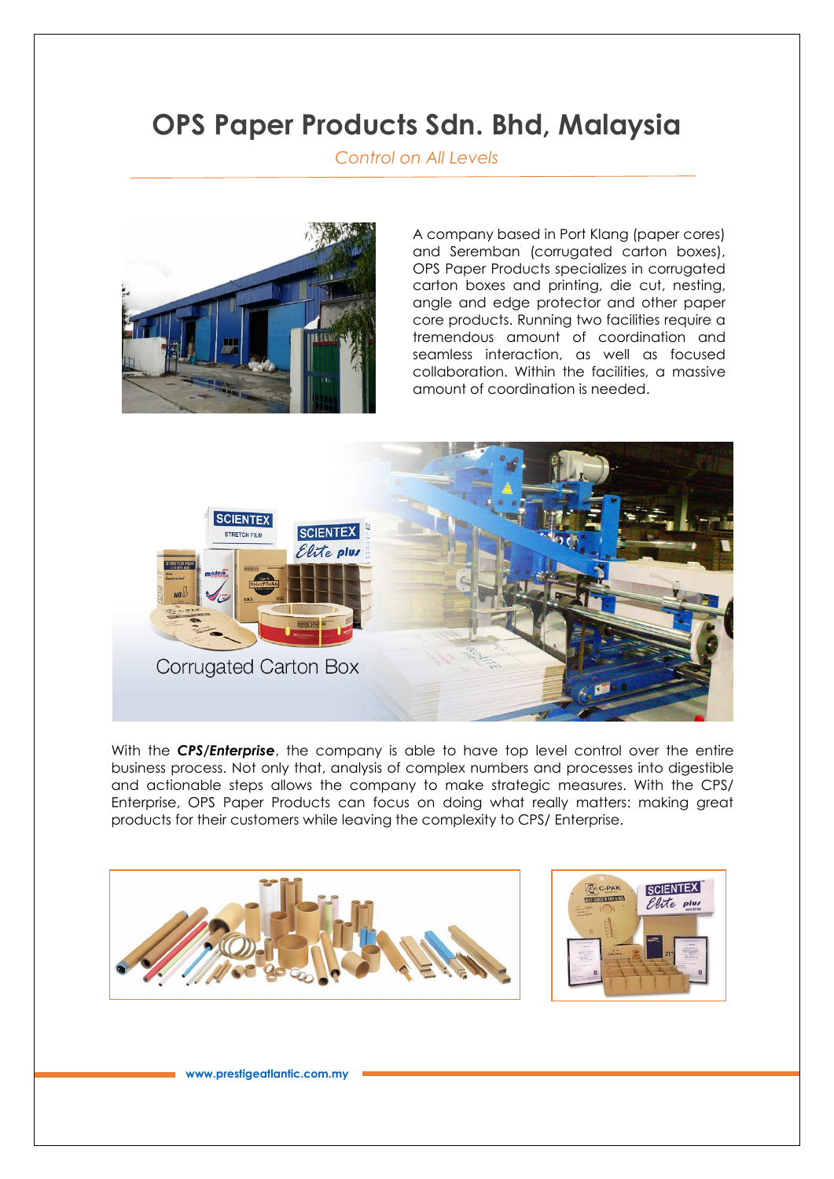# **OPS Paper Products Sdn. Bhd, Malaysia**

*Control on All Levels*



A company based in Port Klang (paper cores) and Seremban (corrugated carton boxes), OPS Paper Products specializes in corrugated carton boxes and printing, die cut, nesting, angle and edge protector and other paper core products. Running two facilities require a tremendous amount of coordination and seamless interaction, as well as focused collaboration. Within the facilities, a massive amount of coordination is needed.



With the *CPS/Enterprise*, the company is able to have top level control over the entire business process. Not only that, analysis of complex numbers and processes into digestible and actionable steps allows the company to make strategic measures. With the CPS/ Enterprise, OPS Paper Products can focus on doing what really matters: making great products for their customers while leaving the complexity to CPS/ Enterprise.



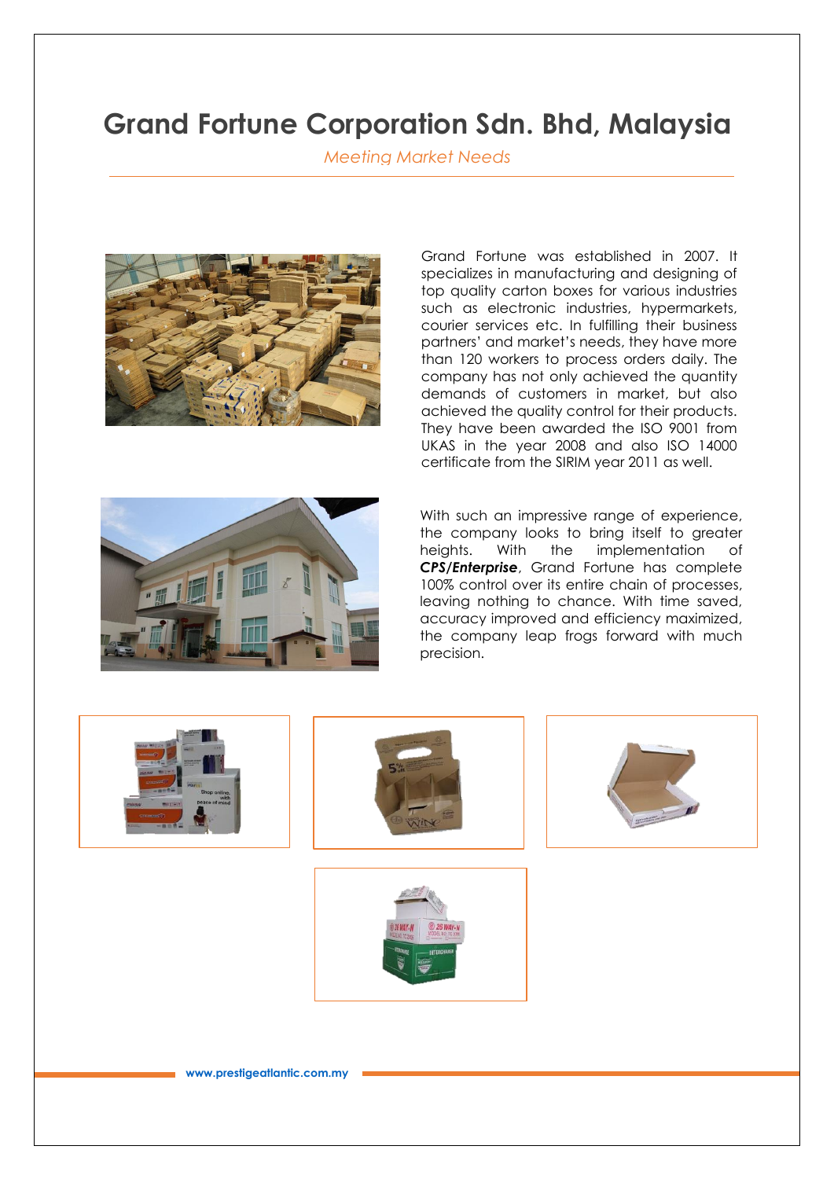# **Grand Fortune Corporation Sdn. Bhd, Malaysia**

*Meeting Market Needs*



Grand Fortune was established in 2007. It specializes in manufacturing and designing of top quality carton boxes for various industries such as electronic industries, hypermarkets, courier services etc. In fulfilling their business partners' and market's needs, they have more than 120 workers to process orders daily. The company has not only achieved the quantity demands of customers in market, but also achieved the quality control for their products. They have been awarded the ISO 9001 from UKAS in the year 2008 and also ISO 14000 certificate from the SIRIM year 2011 as well.



With such an impressive range of experience, the company looks to bring itself to greater heights. With the implementation of *CPS/Enterprise*, Grand Fortune has complete 100% control over its entire chain of processes, leaving nothing to chance. With time saved, accuracy improved and efficiency maximized, the company leap frogs forward with much precision.